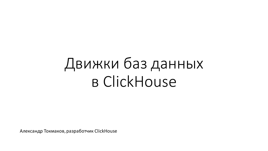# Движки баз данных в ClickHouse

Александр Токмаков, разработчик ClickHouse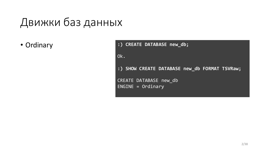## Движки баз данных

• Ordinary

**:) CREATE DATABASE new\_db;** Ok. **:) SHOW CREATE DATABASE new\_db FORMAT TSVRaw;** CREATE DATABASE new\_db ENGINE = Ordinary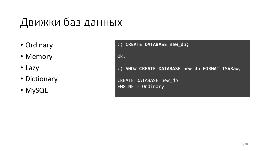# Движки баз данных

- Ordinary
- Memory
- Lazy
- Dictionary
- MySQL

**:) CREATE DATABASE new\_db;** Ok. **:) SHOW CREATE DATABASE new\_db FORMAT TSVRaw;** CREATE DATABASE new\_db ENGINE = Ordinary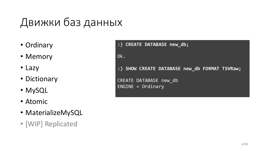# Движки баз данных

- Ordinary
- Memory
- Lazy
- Dictionary
- MySQL
- Atomic
- MaterializeMySQL
- [WIP] Replicated

**:) CREATE DATABASE new\_db;** Ok. **:) SHOW CREATE DATABASE new\_db FORMAT TSVRaw;** CREATE DATABASE new\_db ENGINE = Ordinary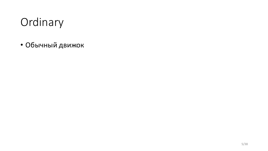# Ordinary

• Обычный движок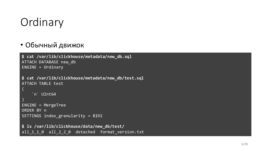# **Ordinary**

#### • Обычный движок

```
$ cat /var/lib/clickhouse/metadata/new_db.sql
ATTACH DATABASE new_db
ENGINE = Ordinary
```

```
$ cat /var/lib/clickhouse/metadata/new_db/test.sql
ATTACH TABLE test
```

```
`n` UInt64
```
(

```
)
ENGINE = MergeTree
ORDER BY n
SETTINGS index_granularity = 8192
```

```
$ ls /var/lib/clickhouse/data/new_db/test/
all_1_1_0 all_2_2_0 detached format_version.txt
```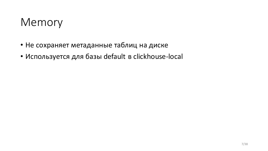### Memory

- Не сохраняет метаданные таблиц на диске
- Используется для базы default в clickhouse-local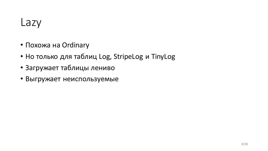- Похожа на Ordinary
- Но только для таблиц Log, StripeLog и TinyLog
- Загружает таблицы лениво
- Выгружает неиспользуемые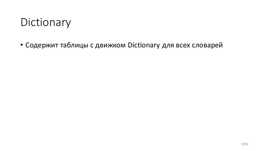### Dictionary

• Содержит таблицы с движком Dictionary для всех словарей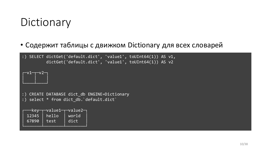### **Dictionary**

#### • Содержит таблицы с движком Dictionary для всех словарей

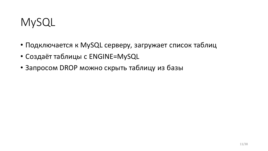### MySQL

- Подключается к MySQL серверу, загружает список таблиц
- Создаёт таблицы с ENGINE=MySQL
- Запросом DROP можно скрыть таблицу из базы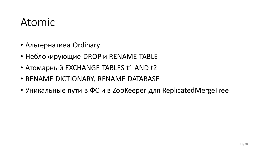### Atomic

- Альтернатива Ordinary
- Неблокирующие DROP и RENAME TABLE
- Атомарный EXCHANGE TABLES t1 AND t2
- RENAME DICTIONARY, RENAME DATABASE
- Уникальные пути в ФС и в ZooKeeper для ReplicatedMergeTree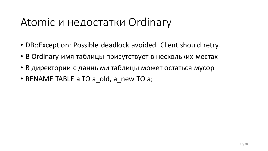### Atomic и недостатки Ordinary

- DB::Exception: Possible deadlock avoided. Client should retry.
- В Ordinary имя таблицы присутствует в нескольких местах
- В директории с данными таблицы может остаться мусор
- RENAME TABLE a TO a old, a new TO a;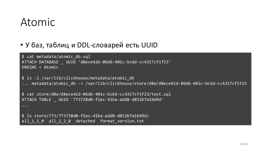### Atomic

#### • У баз, таблиц и DDL-словарей есть UUID

\$ cat metadata/atomic\_db.sql ATTACH DATABASE \_ UUID 'd8ece42d-06d6-401c-bc6d-cc4317cf1f23'  $ENGINE = Atomic$ 

\$ ls -l /var/lib/clickhouse/metadata/atomic\_db ... metadata/atomic db -> /var/lib/clickhouse/store/d8e/d8ece42d-06d6-401c-bc6d-cc4317cf1f23

\$ cat store/d8e/d8ece42d-06d6-401c-bc6d-cc4317cf1f23/test.sql ATTACH TABLE \_ UUID '773738d0-f2ec-41ba-add8-d852b7e1b69d'

```
...
```
\$ ls store/773/773738d0-f2ec-41ba-add8-d852b7e1b69d/ all 1 1 0 all 2 2 0 detached format version.txt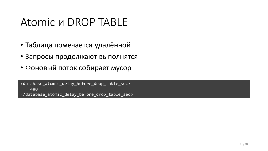### Atomic и DROP TABLE

- Таблица помечается удалённой
- Запросы продолжают выполнятся
- Фоновый поток собирает мусор

<database\_atomic\_delay\_before\_drop\_table\_sec> 480 </database\_atomic\_delay\_before\_drop\_table\_sec>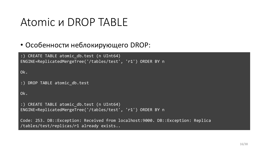### Atomic и DROP TABLE

#### • Особенности неблокирующего DROP:

```
:) CREATE TABLE atomic_db.test (n UInt64) 
ENGINE=ReplicatedMergeTree('/tables/test', 'r1') ORDER BY n
Ok.
:) DROP TABLE atomic_db.test
Ok.
:) CREATE TABLE atomic_db.test (n UInt64) 
ENGINE=ReplicatedMergeTree('/tables/test', 'r1') ORDER BY n
```
Code: 253. DB::Exception: Received from localhost:9000. DB::Exception: Replica /tables/test/replicas/r1 already exists..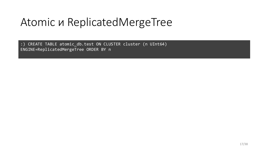## Atomic и ReplicatedMergeTree

:) CREATE TABLE atomic\_db.test ON CLUSTER cluster (n UInt64) ENGINE=ReplicatedMergeTree ORDER BY n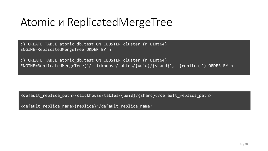### Atomic и ReplicatedMergeTree

:) CREATE TABLE atomic\_db.test ON CLUSTER cluster (n UInt64) ENGINE=ReplicatedMergeTree ORDER BY n

:) CREATE TABLE atomic\_db.test ON CLUSTER cluster (n UInt64) ENGINE=ReplicatedMergeTree('/clickhouse/tables/{uuid}/{shard}', '{replica}') ORDER BY n

<default\_replica\_path>/clickhouse/tables/{uuid}/{shard}</default\_replica\_path>

<default\_replica\_name>{replica}</default\_replica\_name>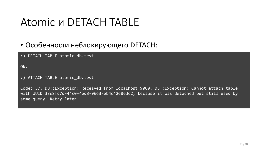### Atomic и DETACH TABLE

#### • Особенности неблокирующего DETACH:

:) DETACH TABLE atomic\_db.test

Ok.

:) ATTACH TABLE atomic\_db.test

Code: 57. DB::Exception: Received from localhost:9000. DB::Exception: Cannot attach table with UUID 33e8fd7d-44c0-4ed3-9663-eb4c42e8edc2, because it was detached but still used by some query. Retry later.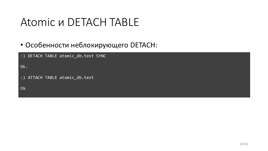### Atomic и DETACH TABLE

#### • Особенности неблокирующего DETACH:

| :) DETACH TABLE atomic_db.test SYNC |
|-------------------------------------|
| Ok.                                 |
| :) ATTACH TABLE atomic_db.test      |
| Ok.                                 |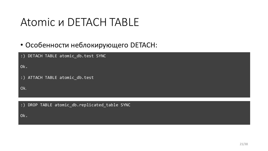### Atomic и DETACH TABLE

#### • Особенности неблокирующего DETACH:

| :) DETACH TABLE atomic db.test SYNC                       |
|-----------------------------------------------------------|
| Ok.                                                       |
| :) ATTACH TABLE atomic db.test                            |
| Ok.                                                       |
|                                                           |
| DROP TABLE atomic_db.replicated_table SYNC<br>$\cdot$ : ) |

Ok.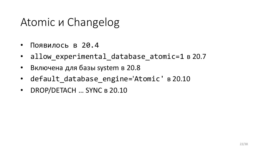### Atomic и Changelog

- Появилось в 20.4
- allow\_experimental\_database\_atomic=1 в 20.7
- Включена для базы system в 20.8
- default database\_engine='Atomic' в 20.10
- DROP/DETACH ... SYNC в 20.10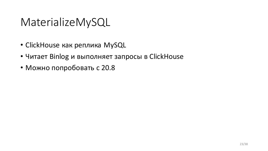### MaterializeMySQL

- ClickHouse как реплика MySQL
- Читает Binlog и выполняет запросы в ClickHouse
- Можно попробовать с 20.8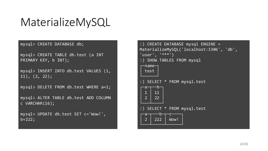### MaterializeMySQL

mysql> CREATE DATABASE db;

```
mysql> CREATE TABLE db.test (a INT 
\overline{\mathsf{PRIMARY}} KEY, \overline{\mathsf{b}} INT);
```
mysql> INSERT INTO db.test VALUES (1,  $\overline{11)}$ ,  $(2, 22)$ ;

mysql> DELETE FROM db.test WHERE a=1;

mysql> ALTER TABLE db.test ADD COLUMN c VARCHAR(16);

mysql> UPDATE db.test SET c='Wow!', b=222;

| :) CREATE DATABASE mysql ENGINE =<br>MaterializeMySQL('localhost:3306', 'db',<br>$\overline{``}$ user $\overline{``}$ , '***')<br>:) SHOW TABLES FROM mysql<br>name-<br>test |
|------------------------------------------------------------------------------------------------------------------------------------------------------------------------------|
| SELECT * FROM mysql.test<br>۰b·<br>a<br>$\overline{1}$<br>11<br>$\overline{2}$<br>22                                                                                         |
| SELECT * FROM mysql.test<br>b<br>a<br>$\overline{2}$<br>222<br>Wow!                                                                                                          |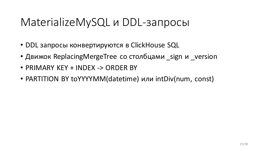### MaterializeMySQL и DDL-запросы

- DDL запросы конвертируются в ClickHouse SQL
- Движок ReplacingMergeTree со столбцами sign и version
- PRIMARY KEY + INDEX -> ORDER BY
- PARTITION BY toYYYYMM(datetime) или intDiv(num, const)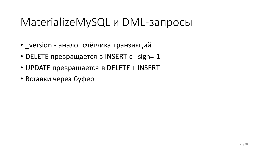### MaterializeMySQL и DML-запросы

- version аналог счётчика транзакций
- DELETE превращается в INSERT с sign=-1
- UPDATE превращается в DELETE + INSERT
- Вставки через буфер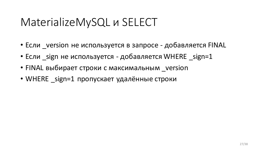### MaterializeMySQL и SELECT

- Если \_version не используется в запросе добавляется FINAL
- Если sign не используется добавляется WHERE sign=1
- FINAL выбирает строки с максимальным version
- WHERE sign=1 пропускает удалённые строки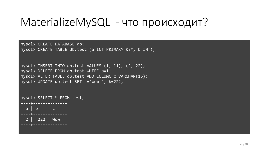mysql> CREATE DATABASE db; mysql> CREATE TABLE db.test (a INT PRIMARY KEY, b INT);

```
mysql> INSERT INTO db.test VALUES (1, 11), (2, 22);
mysql> DELETE FROM db.test WHERE a=1;
mysql> ALTER TABLE db.test ADD COLUMN c VARCHAR(16);
mysql> UPDATE db.test SET c='Wow!', b=222;
```

```
mysql> SELECT * FROM test;
  +---+------+------+
 a \mid b \mid c+---+------+------+
 2 | 222 | Wow!
   +---+------+------+
```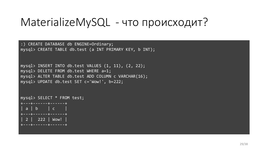:) CREATE DATABASE db ENGINE=Ordinary; mysql> CREATE TABLE db.test (a INT PRIMARY KEY, b INT);

```
mysql> INSERT INTO db.test VALUES (1, 11), (2, 22);
mysql> DELETE FROM db.test WHERE a=1;
mysql> ALTER TABLE db.test ADD COLUMN c VARCHAR(16);
mysql> UPDATE db.test SET c='Wow!', b=222;
```

```
mysql> SELECT * FROM test;
  +---+------+------+
 a \mid b \mid c+---+------+------+
 2 | 222 | Wow!
   +---+------+------+
```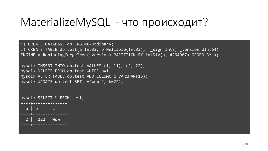:) CREATE DATABASE db ENGINE=Ordinary; :) CREATE TABLE db.test(a Int32, b Nullable(Int32), \_sign Int8, \_version UInt64) ENGINE = ReplacingMergeTree( version) PARTITION BY intDiv(a, 4294967) ORDER BY a;

```
mysql> INSERT INTO db.test VALUES (1, 11), (2, 22);
mysql> DELETE FROM db.test WHERE a=1;
mysql> ALTER TABLE db.test ADD COLUMN c VARCHAR(16);
mysql> UPDATE db.test SET c='Wow!', b=222;
```

```
mysql> SELECT * FROM test;
  +---+------+------+
 a \mid b \mid c+---+------+------+
 | 2 | 222 | Wow!
+---+------+------+
```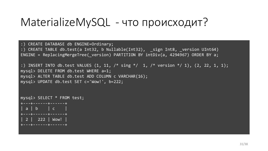:) CREATE DATABASE db ENGINE=Ordinary; :) CREATE TABLE db.test(a Int32, b Nullable(Int32), \_sign Int8, \_version UInt64) ENGINE = ReplacingMergeTree( version) PARTITION BY intDiv(a, 4294967) ORDER BY a;

```
:) INSERT INTO db.test VALUES (1, 11, /* \text{ sing }*/1, /* \text{ version }*/1), (2, 22, 1, 1);mysql> DELETE FROM db.test WHERE a=1;
mysql> ALTER TABLE db.test ADD COLUMN c VARCHAR(16);
mysql> UPDATE db.test SET c='Wow!', b=222;
```

```
mysql> SELECT * FROM test;
+---+------+------+
 a \mid b \mid c+---+------+------+
 2 | 222 | Wow!
+---+------+------+
```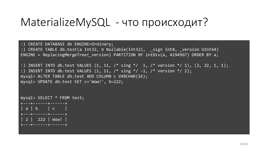```
:) CREATE DATABASE db ENGINE=Ordinary;
:) CREATE TABLE db.test(a Int32, b Nullable(Int32), ___ sign Int8, __ version UInt64)
ENGINE = ReplacingMergeTree( version) PARTITION BY intDiv(a, 4294967) ORDER BY a;
:) INSERT INTO db.test VALUES (1, 11, /* sing */ 1, /* version */ 1), (2, 22, 1, 1);
:) INSERT INTO db.test VALUES (1, 11, /* \text{ sing }*/-1, /* \text{version }*/2);mysql> ALTER TABLE db.test ADD COLUMN c VARCHAR(16);
mysql> UPDATE db.test SET c='Wow!', b=222;
```

```
mysql> SELECT * FROM test;
+---+------+------+
 a \mid b \mid c+---+------+------+
 2 | 222 | Wow!
  +---+------+------+
```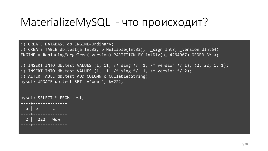```
:) CREATE DATABASE db ENGINE=Ordinary;
:) CREATE TABLE db.test(a Int32, b Nullable(Int32), _sign Int8, _version UInt64)
ENGINE = ReplacingMergeTree( version) PARTITION BY intDiv(a, 4294967) ORDER BY a;
:) INSERT INTO db.test VALUES (1, 11, /* sing */ 1, /* version */ 1), (2, 22, 1, 1);
:) INSERT INTO db.test VALUES (1, 11, /* \text{ sing }*/-1, /* \text{version }*/2);:) ALTER TABLE db.test ADD COLUMN c Nullable(String);
mysql> UPDATE db.test SET c='Wow!', b=222;
```

```
mysql> SELECT * FROM test;
  +---+------+------+
 a \mid b \mid c+---+------+------+
 2 | 222 | Wow!
  +---+------+------+
```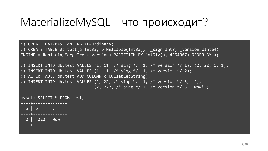```
:) CREATE DATABASE db ENGINE=Ordinary;
:) CREATE TABLE db.test(a Int32, b Nullable(Int32), _sign Int8, _version UInt64)
ENGINE = ReplacingMergeTree( version) PARTITION BY intDiv(a, 4294967) ORDER BY a;
:) INSERT INTO db.test VALUES (1, 11, /* sing */ 1, /* version */ 1), (2, 22, 1, 1);
:) INSERT INTO db.test VALUES (1, 11, /* \text{sing *}/ -1, /* \text{version *}/ 2);:) ALTER TABLE db.test ADD COLUMN c Nullable(String);
:) INSERT INTO db.test VALUES (2, 22, /* sing */ -1, /* version */ 3, ''),
                                 (2, 222, \frac{\times}{} sing \frac{\times}{} 1, \frac{\times}{} version \frac{\times}{} 3, 'Wow!');
mysql> SELECT * FROM test;
```
+---+------+------+  $a \mid b \mid c$ +---+------+------+ 2 | 222 | Wow! +---+------+------+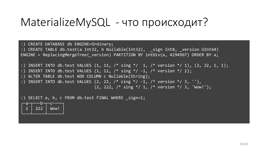```
:) CREATE DATABASE db ENGINE=Ordinary;
:) CREATE TABLE db.test(a Int32, b Nullable(Int32), ___ sign Int8, __ version UInt64)
ENGINE = ReplacingMergeTree( version) PARTITION BY intDiv(a, 4294967) ORDER BY a;
:) INSERT INTO db.test VALUES (1, 11, /* sing */ 1, /* version */ 1), (2, 22, 1, 1);
:) INSERT INTO db.test VALUES (1, 11, /* \text{ sing }*/-1, /* \text{version }*/2);:) ALTER TABLE db.test ADD COLUMN c Nullable(String);
:) INSERT INTO db.test VALUES (2, 22, /* sing */ -1, /* version */ 3, ''),
                                 (2, 222, \frac{\times}{} sing \frac{\times}{} 1, \frac{\times}{} version \frac{\times}{} 3, 'Wow!');
```
:) SELECT a, b, c FROM db.test FINAL WHERE sign=1;

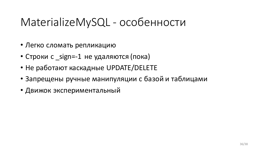### MaterializeMySQL - особенности

- Легко сломать репликацию
- Строки с \_sign=-1 не удаляются (пока)
- Не работают каскадные UPDATE/DELETE
- Запрещены ручные манипуляции с базой и таблицами
- Движок экспериментальный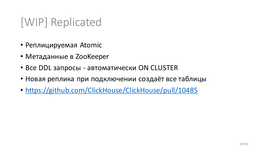# [WIP] Replicated

- Реплицируемая Atomic
- Метаданные в ZooKeeper
- Все DDL запросы автоматически ON CLUSTER
- Новая реплика при подключении создаёт все таблицы
- <https://github.com/ClickHouse/ClickHouse/pull/10485>